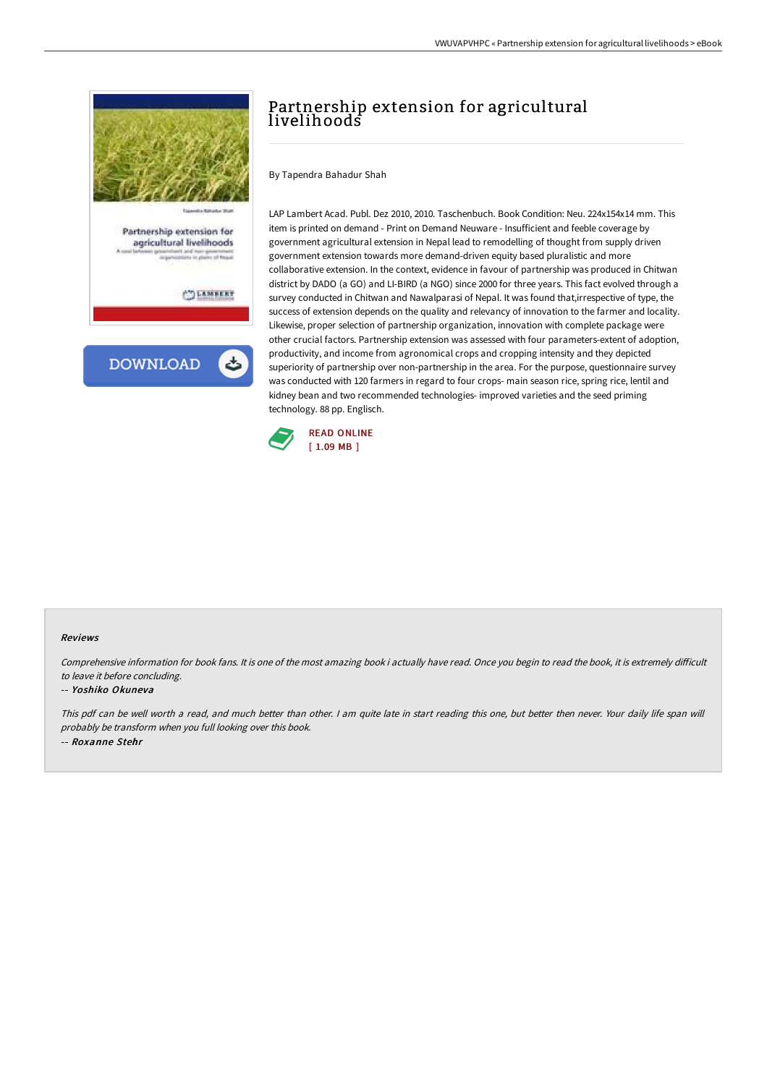

## Partnership extension for agricultural livelihoods

By Tapendra Bahadur Shah

LAP Lambert Acad. Publ. Dez 2010, 2010. Taschenbuch. Book Condition: Neu. 224x154x14 mm. This item is printed on demand - Print on Demand Neuware - Insufficient and feeble coverage by government agricultural extension in Nepal lead to remodelling of thought from supply driven government extension towards more demand-driven equity based pluralistic and more collaborative extension. In the context, evidence in favour of partnership was produced in Chitwan district by DADO (a GO) and LI-BIRD (a NGO) since 2000 for three years. This fact evolved through a survey conducted in Chitwan and Nawalparasi of Nepal. It was found that,irrespective of type, the success of extension depends on the quality and relevancy of innovation to the farmer and locality. Likewise, proper selection of partnership organization, innovation with complete package were other crucial factors. Partnership extension was assessed with four parameters-extent of adoption, productivity, and income from agronomical crops and cropping intensity and they depicted superiority of partnership over non-partnership in the area. For the purpose, questionnaire survey was conducted with 120 farmers in regard to four crops- main season rice, spring rice, lentil and kidney bean and two recommended technologies- improved varieties and the seed priming technology. 88 pp. Englisch.



## Reviews

Comprehensive information for book fans. It is one of the most amazing book i actually have read. Once you begin to read the book, it is extremely difficult to leave it before concluding.

## -- Yoshiko Okuneva

This pdf can be well worth <sup>a</sup> read, and much better than other. <sup>I</sup> am quite late in start reading this one, but better then never. Your daily life span will probably be transform when you full looking over this book. -- Roxanne Stehr